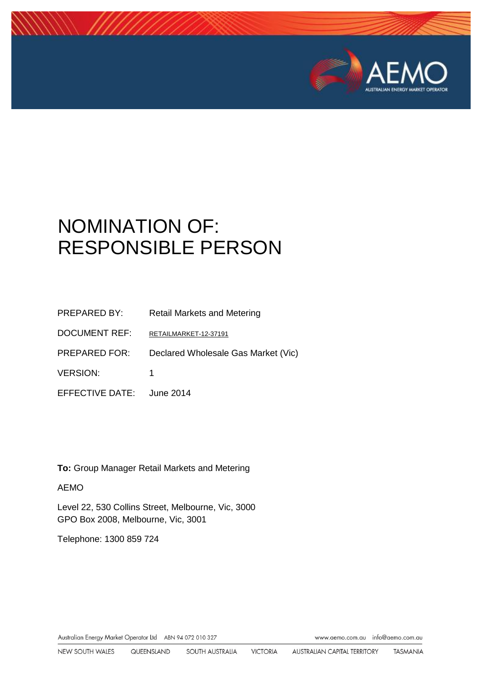

# NOMINATION OF: RESPONSIBLE PERSON

| <b>PREPARED BY:</b>       | <b>Retail Markets and Metering</b>  |
|---------------------------|-------------------------------------|
| <b>DOCUMENT REF:</b>      | RETAILMARKET-12-37191               |
| <b>PREPARED FOR:</b>      | Declared Wholesale Gas Market (Vic) |
| <b>VERSION:</b>           | 1                                   |
| EFFECTIVE DATE: June 2014 |                                     |

**To:** Group Manager Retail Markets and Metering

#### AEMO

Level 22, 530 Collins Street, Melbourne, Vic, 3000 GPO Box 2008, Melbourne, Vic, 3001

Telephone: 1300 859 724

Australian Energy Market Operator Ltd ABN 94 072 010 327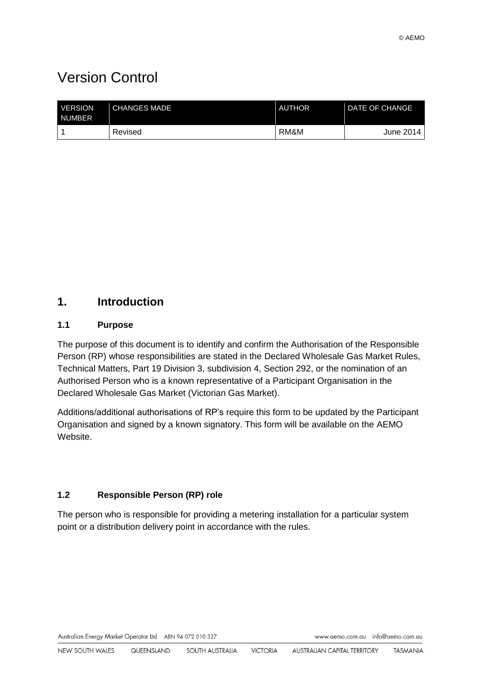# Version Control

| <b>VERSION</b><br><b>NUMBER</b> | <b>CHANGES MADE</b> | <b>AUTHOR</b> | <b>DATE OF CHANGE</b> |
|---------------------------------|---------------------|---------------|-----------------------|
|                                 | Revised             | RM&M          | June 2014             |

# **1. Introduction**

#### **1.1 Purpose**

The purpose of this document is to identify and confirm the Authorisation of the Responsible Person (RP) whose responsibilities are stated in the Declared Wholesale Gas Market Rules, Technical Matters, Part 19 Division 3, subdivision 4, Section 292, or the nomination of an Authorised Person who is a known representative of a Participant Organisation in the Declared Wholesale Gas Market (Victorian Gas Market).

Additions/additional authorisations of RP's require this form to be updated by the Participant Organisation and signed by a known signatory. This form will be available on the AEMO Website.

#### **1.2 Responsible Person (RP) role**

The person who is responsible for providing a metering installation for a particular system point or a distribution delivery point in accordance with the rules.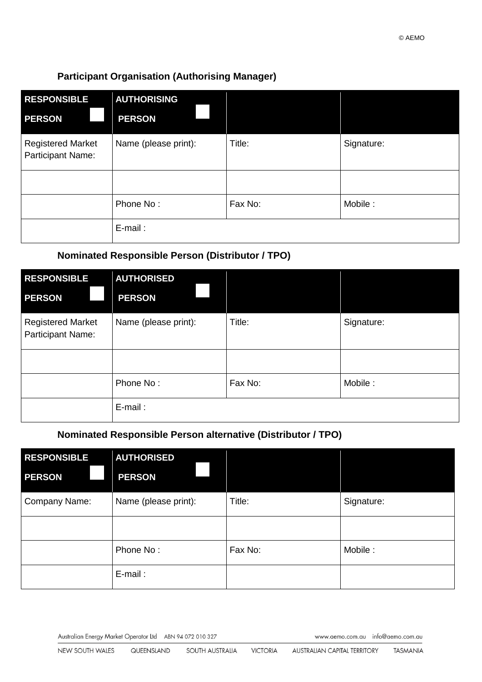## **Participant Organisation (Authorising Manager)**

| <b>RESPONSIBLE</b>                            | <b>AUTHORISING</b>   |         |            |
|-----------------------------------------------|----------------------|---------|------------|
| <b>PERSON</b>                                 | <b>PERSON</b>        |         |            |
| <b>Registered Market</b><br>Participant Name: | Name (please print): | Title:  | Signature: |
|                                               |                      |         |            |
|                                               | Phone No:            | Fax No: | Mobile:    |
|                                               | $E$ -mail:           |         |            |

# **Nominated Responsible Person (Distributor / TPO)**

| <b>RESPONSIBLE</b>                            | <b>AUTHORISED</b>    |         |            |
|-----------------------------------------------|----------------------|---------|------------|
| <b>PERSON</b>                                 | <b>PERSON</b>        |         |            |
| <b>Registered Market</b><br>Participant Name: | Name (please print): | Title:  | Signature: |
|                                               |                      |         |            |
|                                               | Phone No:            | Fax No: | Mobile:    |
|                                               | $E$ -mail:           |         |            |

# **Nominated Responsible Person alternative (Distributor / TPO)**

| <b>RESPONSIBLE</b><br><b>PERSON</b> | <b>AUTHORISED</b><br><b>PERSON</b> |         |            |
|-------------------------------------|------------------------------------|---------|------------|
| Company Name:                       | Name (please print):               | Title:  | Signature: |
|                                     |                                    |         |            |
|                                     | Phone No:                          | Fax No: | Mobile:    |
|                                     | E-mail:                            |         |            |

Australian Energy Market Operator Ltd ABN 94 072 010 327